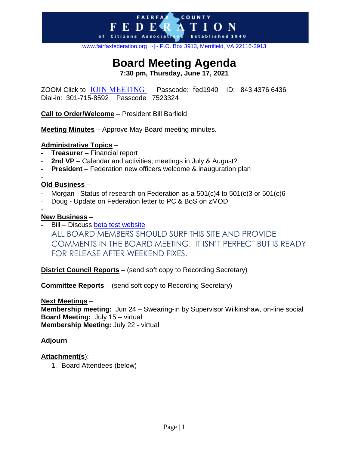[www.fairfaxfederation.org](http://www.fairfaxfederation.org/) ~|~ P.O. Box 3913, Merrifield, VA 22116-3913

COUNTY

**FAIRFA** 

ED E of Citizens Associati

# **Board Meeting Agenda**

**7:30 pm, Thursday, June 17, 2021**

ZOOM Click to [JOIN MEETING](https://us02web.zoom.us/j/84343766436?pwd=ZDhJcVo5QmRvU0NyL2YzM1VVYmdGdz09) Passcode: fed1940 ID: 843 4376 6436 Dial-in: 301-715-8592 Passcode 7523324

**Call to Order/Welcome** – President Bill Barfield

**Meeting Minutes** – Approve May Board meeting minutes.

# **Administrative Topics** –

- **Treasurer** Financial report
- 2nd VP Calendar and activities; meetings in July & August?
- **President** Federation new officers welcome & inauguration plan

# **Old Business** –

- Morgan Status of research on Federation as a 501(c)4 to 501(c)3 or 501(c)6
- Doug Update on Federation letter to PC & BoS on zMOD
- -

-

### **New Business** –

Bill – Discuss [beta test website](https://emcarbone.wixsite.com/fairfaxfederation) ALL BOARD MEMBERS SHOULD SURF THIS SITE AND PROVIDE COMMENTS IN THE BOARD MEETING. IT ISN'T PERFECT BUT IS READY FOR RELEASE AFTER WEEKEND FIXES.

**District Council Reports** – (send soft copy to Recording Secretary)

**Committee Reports** – (send soft copy to Recording Secretary)

#### **Next Meetings** –

**Membership meeting:** Jun 24 – Swearing-in by Supervisor Wilkinshaw, on-line social **Board Meeting:** July 15 – virtual **Membership Meeting:** July 22 - virtual

# **Adjourn**

# **Attachment(s**):

1. Board Attendees (below)